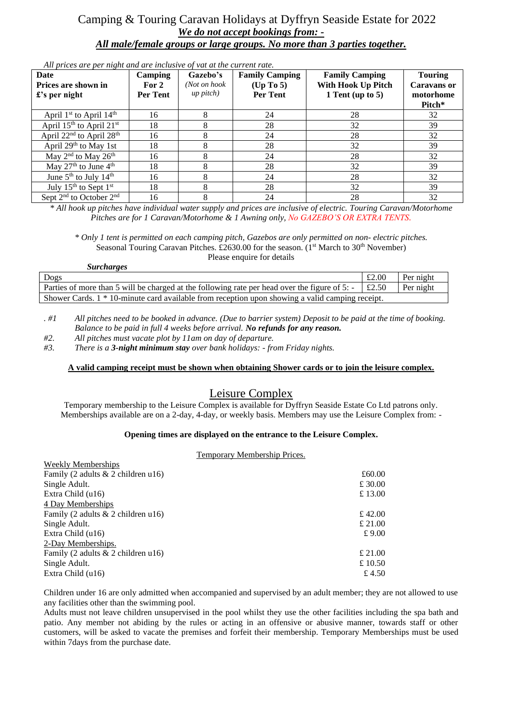### Camping & Touring Caravan Holidays at Dyffryn Seaside Estate for 2022 *We do not accept bookings from: - All male/female groups or large groups. No more than 3 parties together.*

*All prices are per night and are inclusive of vat at the current rate.*

| Date<br>Prices are shown in<br>$\pounds$ 's per night | <b>Camping</b><br>For 2<br>Per Tent | Gazebo's<br>(Not on hook<br>$up$ pitch $)$ | <b>Family Camping</b><br>(Up To 5)<br><b>Per Tent</b> | <b>Family Camping</b><br>With Hook Up Pitch<br>1 Tent (up to $5$ ) | <b>Touring</b><br><b>Caravans or</b><br>motorhome<br>Pitch* |
|-------------------------------------------------------|-------------------------------------|--------------------------------------------|-------------------------------------------------------|--------------------------------------------------------------------|-------------------------------------------------------------|
| April 1st to April 14th                               | 16                                  | 8                                          | 24                                                    | 28                                                                 | 32                                                          |
| April $15th$ to April $21st$                          | 18                                  | 8                                          | 28                                                    | 32                                                                 | 39                                                          |
| April 22 <sup>nd</sup> to April 28 <sup>th</sup>      | 16                                  | 8                                          | 24                                                    | 28                                                                 | 32                                                          |
| April $29th$ to May 1st                               | 18                                  | 8                                          | 28                                                    | 32                                                                 | 39                                                          |
| May 2 <sup>nd</sup> to May 26 <sup>th</sup>           | 16                                  | 8                                          | 24                                                    | 28                                                                 | 32                                                          |
| May 27 <sup>th</sup> to June 4 <sup>th</sup>          | 18                                  | 8                                          | 28                                                    | 32                                                                 | 39                                                          |
| June $5^{th}$ to July $14^{th}$                       | 16                                  | 8                                          | 24                                                    | 28                                                                 | 32                                                          |
| July 15 <sup>th</sup> to Sept 1 <sup>st</sup>         | 18                                  | 8                                          | 28                                                    | 32                                                                 | 39                                                          |
| Sept 2 <sup>nd</sup> to October 2 <sup>nd</sup>       | 16                                  |                                            | 24                                                    | 28                                                                 | 32                                                          |

*\* All hook up pitches have individual water supply and prices are inclusive of electric. Touring Caravan/Motorhome Pitches are for 1 Caravan/Motorhome & 1 Awning only, No GAZEBO'S OR EXTRA TENTS.*

*\* Only 1 tent is permitted on each camping pitch, Gazebos are only permitted on non- electric pitches.* Seasonal Touring Caravan Pitches. £2630.00 for the season. (1<sup>st</sup> March to 30<sup>th</sup> November) Please enquire for details

| <i>Surcharges</i>                                                                                       |       |           |  |  |
|---------------------------------------------------------------------------------------------------------|-------|-----------|--|--|
| Dogs                                                                                                    | £2.00 | Per night |  |  |
| Parties of more than 5 will be charged at the following rate per head over the figure of 5: $\pm$ £2.50 |       | Per night |  |  |
| Shower Cards. 1 * 10-minute card available from reception upon showing a valid camping receipt.         |       |           |  |  |

*. #1 All pitches need to be booked in advance. (Due to barrier system) Deposit to be paid at the time of booking. Balance to be paid in full 4 weeks before arrival. No refunds for any reason.* 

*#2. All pitches must vacate plot by 11am on day of departure.*

*#3. There is a 3-night minimum stay over bank holidays: - from Friday nights.* 

#### **A valid camping receipt must be shown when obtaining Shower cards or to join the leisure complex.**

## Leisure Complex

Temporary membership to the Leisure Complex is available for Dyffryn Seaside Estate Co Ltd patrons only. Memberships available are on a 2-day, 4-day, or weekly basis. Members may use the Leisure Complex from: -

#### **Opening times are displayed on the entrance to the Leisure Complex.**

Temporary Membership Prices.

| <b>Weekly Memberships</b>            |         |
|--------------------------------------|---------|
| Family (2 adults $& 2$ children u16) | £60.00  |
| Single Adult.                        | £ 30.00 |
| Extra Child (u16)                    | £ 13.00 |
| 4 Day Memberships                    |         |
| Family (2 adults $& 2$ children u16) | £ 42.00 |
| Single Adult.                        | £ 21.00 |
| Extra Child (u16)                    | £9.00   |
| 2-Day Memberships.                   |         |
| Family (2 adults $& 2$ children u16) | £21.00  |
| Single Adult.                        | £ 10.50 |
| Extra Child (u16)                    | £ 4.50  |
|                                      |         |

Children under 16 are only admitted when accompanied and supervised by an adult member; they are not allowed to use any facilities other than the swimming pool.

Adults must not leave children unsupervised in the pool whilst they use the other facilities including the spa bath and patio. Any member not abiding by the rules or acting in an offensive or abusive manner, towards staff or other customers, will be asked to vacate the premises and forfeit their membership. Temporary Memberships must be used within 7days from the purchase date.